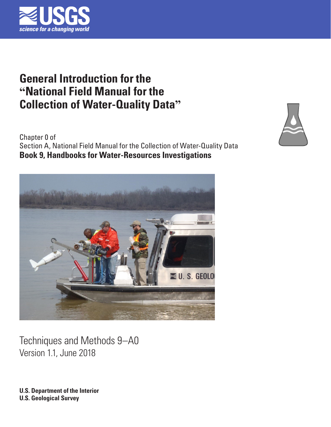

# **General Introduction for the "National Field Manual for the Collection of Water-Quality Data"**

Chapter 0 of Section A, National Field Manual for the Collection of Water-Quality Data **Book 9, Handbooks for Water-Resources Investigations** 



Techniques and Methods 9–A0 Version 1.1, June 2018

**U.S. Department of the Interior U.S. Geological Survey**

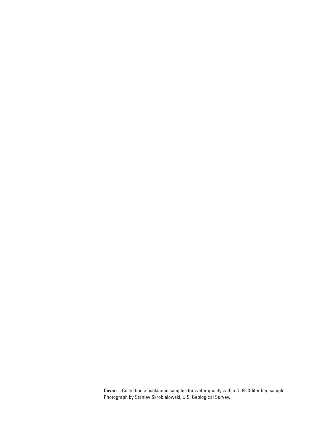**Cover:** Collection of isokinetic samples for water quality with a D–96 3-liter bag sampler. Photograph by Stanley Skrobialowski, U.S. Geological Survey.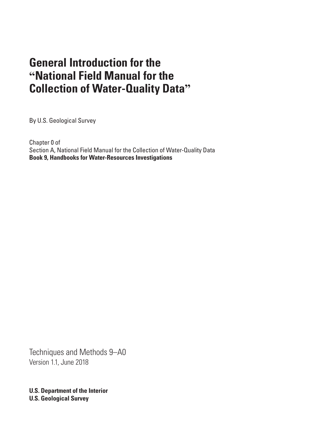# **General Introduction for the "National Field Manual for the Collection of Water-Quality Data"**

By U.S. Geological Survey

Chapter 0 of Section A, National Field Manual for the Collection of Water-Quality Data **Book 9, Handbooks for Water-Resources Investigations**

Techniques and Methods 9–A0 Version 1.1, June 2018

**U.S. Department of the Interior U.S. Geological Survey**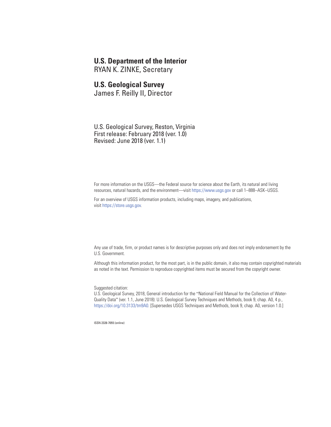#### **U.S. Department of the Interior**

RYAN K. ZINKE, Secretary

#### **U.S. Geological Survey**

James F. Reilly II, Director

U.S. Geological Survey, Reston, Virginia First release: February 2018 (ver. 1.0) Revised: June 2018 (ver. 1.1)

For more information on the USGS—the Federal source for science about the Earth, its natural and living resources, natural hazards, and the environment—visit [https://www.usgs.gov](http://www.usgs.gov) or call 1–888–ASK–USGS.

For an overview of USGS information products, including maps, imagery, and publications, visit [https://store.usgs.gov.](http://store.usgs.gov)

Any use of trade, firm, or product names is for descriptive purposes only and does not imply endorsement by the U.S. Government.

Although this information product, for the most part, is in the public domain, it also may contain copyrighted materials as noted in the text. Permission to reproduce copyrighted items must be secured from the copyright owner.

Suggested citation:

U.S. Geological Survey, 2018, General introduction for the "National Field Manual for the Collection of Water-Quality Data" (ver. 1.1, June 2018): U.S. Geological Survey Techniques and Methods, book 9, chap. A0, 4 p., [https://doi.org/10.3133/tm9A0](https://doi.org/10.3133/tm9a0). [Supersedes USGS Techniques and Methods, book 9, chap. A0, version 1.0.]

ISSN 2328-7055 (online)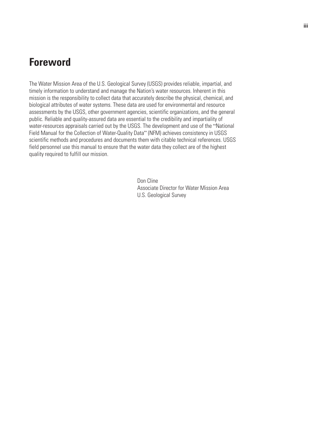## <span id="page-4-0"></span>**Foreword**

The Water Mission Area of the U.S. Geological Survey (USGS) provides reliable, impartial, and timely information to understand and manage the Nation's water resources. Inherent in this mission is the responsibility to collect data that accurately describe the physical, chemical, and biological attributes of water systems. These data are used for environmental and resource assessments by the USGS, other government agencies, scientific organizations, and the general public. Reliable and quality-assured data are essential to the credibility and impartiality of water-resources appraisals carried out by the USGS. The development and use of the "National Field Manual for the Collection of Water-Quality Data" (NFM) achieves consistency in USGS scientific methods and procedures and documents them with citable technical references. USGS field personnel use this manual to ensure that the water data they collect are of the highest quality required to fulfill our mission.

> Don Cline Associate Director for Water Mission Area U.S. Geological Survey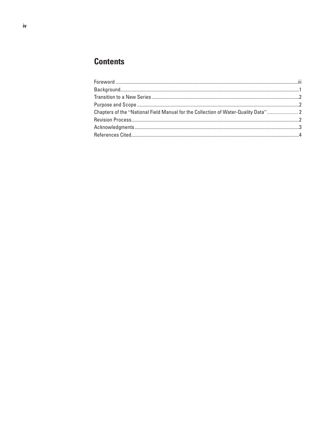## **Contents**

| Chapters of the "National Field Manual for the Collection of Water-Quality Data" 2 |  |
|------------------------------------------------------------------------------------|--|
|                                                                                    |  |
|                                                                                    |  |
|                                                                                    |  |
|                                                                                    |  |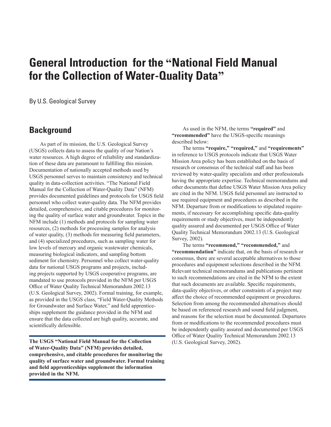## <span id="page-6-0"></span>**General Introduction for the "National Field Manual for the Collection of Water-Quality Data"**

By U.S. Geological Survey

#### **Background**

As part of its mission, the U.S. Geological Survey (USGS) collects data to assess the quality of our Nation's water resources. A high degree of reliability and standardization of these data are paramount to fulfilling this mission. Documentation of nationally accepted methods used by USGS personnel serves to maintain consistency and technical quality in data-collection activities. "The National Field Manual for the Collection of Water-Quality Data" (NFM) provides documented guidelines and protocols for USGS field personnel who collect water-quality data. The NFM provides detailed, comprehensive, and citable procedures for monitoring the quality of surface water and groundwater. Topics in the NFM include (1) methods and protocols for sampling water resources, (2) methods for processing samples for analysis of water quality, (3) methods for measuring field parameters, and (4) specialized procedures, such as sampling water for low levels of mercury and organic wastewater chemicals, measuring biological indicators, and sampling bottom sediment for chemistry. Personnel who collect water-quality data for national USGS programs and projects, including projects supported by USGS cooperative programs, are mandated to use protocols provided in the NFM per USGS Office of Water Quality Technical Memorandum 2002.13 (U.S. Geological Survey, 2002). Formal training, for example, as provided in the USGS class, "Field Water-Quality Methods for Groundwater and Surface Water," and field apprenticeships supplement the guidance provided in the NFM and ensure that the data collected are high quality, accurate, and scientifically defensible.

**The USGS "National Field Manual for the Collection of Water-Quality Data" (NFM) provides detailed, comprehensive, and citable procedures for monitoring the quality of surface water and groundwater. Formal training and field apprenticeships supplement the information provided in the NFM.**

As used in the NFM, the terms **"required"** and **"recommended"** have the USGS-specific meanings described below:

The terms **"require," "required,"** and **"requirements"** in reference to USGS protocols indicate that USGS Water Mission Area policy has been established on the basis of research or consensus of the technical staff and has been reviewed by water-quality specialists and other professionals having the appropriate expertise. Technical memorandums and other documents that define USGS Water Mission Area policy are cited in the NFM. USGS field personnel are instructed to use required equipment and procedures as described in the NFM. Departure from or modifications to stipulated requirements, if necessary for accomplishing specific data-quality requirements or study objectives, must be independently quality assured and documented per USGS Office of Water Quality Technical Memorandum 2002.13 (U.S. Geological Survey, 2002).

The terms **"recommend," "recommended,"** and **"recommendation"** indicate that, on the basis of research or consensus, there are several acceptable alternatives to those procedures and equipment selections described in the NFM. Relevant technical memorandums and publications pertinent to such recommendations are cited in the NFM to the extent that such documents are available. Specific requirements, data-quality objectives, or other constraints of a project may affect the choice of recommended equipment or procedures. Selection from among the recommended alternatives should be based on referenced research and sound field judgment, and reasons for the selection must be documented. Departures from or modifications to the recommended procedures must be independently quality assured and documented per USGS Office of Water Quality Technical Memorandum 2002.13 (U.S. Geological Survey, 2002).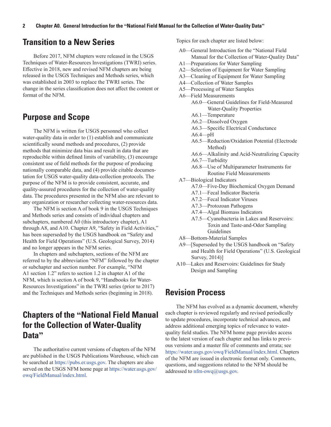#### <span id="page-7-0"></span>**Transition to a New Series**

Before 2017, NFM chapters were released in the USGS Techniques of Water-Resources Investigations (TWRI) series. Effective in 2018, new and revised NFM chapters are being released in the USGS Techniques and Methods series, which was established in 2003 to replace the TWRI series. The change in the series classification does not affect the content or format of the NFM.

### **Purpose and Scope**

The NFM is written for USGS personnel who collect water-quality data in order to (1) establish and communicate scientifically sound methods and procedures, (2) provide methods that minimize data bias and result in data that are reproducible within defined limits of variability, (3) encourage consistent use of field methods for the purpose of producing nationally comparable data, and (4) provide citable documentation for USGS water-quality data-collection protocols. The purpose of the NFM is to provide consistent, accurate, and quality-assured procedures for the collection of water-quality data. The procedures presented in the NFM also are relevant to any organization or researcher collecting water-resources data.

The NFM is section A of book 9 in the USGS Techniques and Methods series and consists of individual chapters and subchapters, numbered A0 (this introductory chapter), A1 through A8, and A10. Chapter A9, "Safety in Field Activities," has been superseded by the USGS handbook on "Safety and Health for Field Operations" (U.S. Geological Survey, 2014) and no longer appears in the NFM series.

In chapters and subchapters, sections of the NFM are referred to by the abbreviation "NFM" followed by the chapter or subchapter and section number. For example, "NFM A1 section 1.2" refers to section 1.2 in chapter A1 of the NFM, which is section A of book 9, "Handbooks for Water-Resources Investigations" in the TWRI series (prior to 2017) and the Techniques and Methods series (beginning in 2018).

### **Chapters of the "National Field Manual for the Collection of Water-Quality Data"**

The authoritative current versions of chapters of the NFM are published in the USGS Publications Warehouse, which can be searched at https://pubs.er.usgs.gov. The chapters are also served on the USGS NFM home page at https://water.usgs.gov/ owq/FieldManual/index.html.

Topics for each chapter are listed below:

- A0—General Introduction for the "National Field Manual for the Collection of Water-Quality Data"
- A1—Preparations for Water Sampling
- A2—Selection of Equipment for Water Sampling
- A3—Cleaning of Equipment for Water Sampling
- A4—Collection of Water Samples
- A5—Processing of Water Samples
- A6—Field Measurements
	- A6.0—General Guidelines for Field-Measured Water-Quality Properties
	- A6.1—Temperature
	- A6.2—Dissolved Oxygen
	- A6.3—Specific Electrical Conductance
	- $A6.4-pH$
	- A6.5—Reduction/Oxidation Potential (Electrode Method)
	- A6.6—Alkalinity and Acid-Neutralizing Capacity
	- A6.7—Turbidity
	- A6.8—Use of Multiparameter Instruments for Routine Field Measurements
- A7—Biological Indicators
	- A7.0—Five-Day Biochemical Oxygen Demand
	- A7.1—Fecal Indicator Bacteria
	- A7.2—Fecal Indicator Viruses
	- A7.3—Protozoan Pathogens
	- A7.4—Algal Biomass Indicators
	- A7.5—Cyanobacteria in Lakes and Reservoirs: Toxin and Taste-and-Odor Sampling Guidelines
- A8—Bottom-Material Samples
- A9—[Superseded by the USGS handbook on "Safety and Health for Field Operations" (U.S. Geological Survey, 2014)]
- A10—Lakes and Reservoirs: Guidelines for Study Design and Sampling

#### **Revision Process**

The NFM has evolved as a dynamic document, whereby each chapter is reviewed regularly and revised periodically to update procedures, incorporate technical advances, and address additional emerging topics of relevance to waterquality field studies. The NFM home page provides access to the latest version of each chapter and has links to previous versions and a master file of comments and errata; see https://water.usgs.gov/owq/FieldManual/index.html. Chapters of the NFM are issued in electronic format only. Comments, questions, and suggestions related to the NFM should be addressed to nfm-owq@usgs.gov.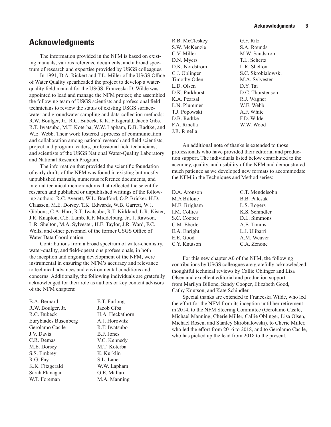#### <span id="page-8-0"></span>**Acknowledgments**

The information provided in the NFM is based on existing manuals, various reference documents, and a broad spectrum of research and expertise provided by USGS colleagues.

In 1991, D.A. Rickert and T.L. Miller of the USGS Office of Water Quality spearheaded the project to develop a waterquality field manual for the USGS. Franceska D. Wilde was appointed to lead and manage the NFM project; she assembled the following team of USGS scientists and professional field technicians to review the status of existing USGS surfacewater and groundwater sampling and data-collection methods: R.W. Boulger, Jr., R.C. Bubeck, K.K. Fitzgerald, Jacob Gibs, R.T. Iwatsubo, M.T. Koterba, W.W. Lapham, D.B. Radtke, and W.E. Webb. Their work fostered a process of communication and collaboration among national research and field scientists, project and program leaders, professional field technicians, and scientists of the USGS National Water-Quality Laboratory and National Research Program.

The information that provided the scientific foundation of early drafts of the NFM was found in existing but mostly unpublished manuals, numerous reference documents, and internal technical memorandums that reflected the scientific research and published or unpublished writings of the following authors: R.C. Averett, W.L. Bradford, O.P. Bricker, H.D. Claassen, M.E. Dorsey, T.K. Edwards, W.B. Garrett, W.J. Gibbons, C.A. Harr, R.T. Iwatsubo, R.T. Kirkland, L.R. Kister, J.R. Knapton, C.E. Lamb, R.F. Middelburg, Jr., J. Rawson, L.R. Shelton, M.A. Sylvester, H.E. Taylor, J.R. Ward, F.C. Wells, and other personnel of the former USGS Office of Water Data Coordination.

Contributions from a broad spectrum of water-chemistry, water-quality, and field-operations professionals, in both the inception and ongoing development of the NFM, were instrumental in ensuring the NFM's accuracy and relevance to technical advances and environmental conditions and concerns. Additionally, the following individuals are gratefully acknowledged for their role as authors or key content advisors of the NFM chapters:

| B.A. Bernard         | E.T. Furlong    |
|----------------------|-----------------|
| R.W. Boulger, Jr.    | Jacob Gibs      |
| R.C. Bubeck          | H.A. Heckathorn |
| Eurybiades Busenberg | A.J. Horowitz   |
| Gerolamo Casile      | R.T. Iwatsubo   |
| J.V. Davis           | B.F. Jones      |
| C.R. Demas           | V.C. Kennedy    |
| M.E. Dorsey          | M.T. Koterba    |
| S.S. Embrey          | K. Kurklin      |
| R.G. Fay             | S.L. Lane       |
| K.K. Fitzgerald      | W.W. Lapham     |
| Sarah Flanagan       | G.E. Mallard    |
| W.T. Foreman         | M.A. Manning    |
|                      |                 |

| R.B. McCleskey      | G.F. Ritz          |
|---------------------|--------------------|
| S.W. McKenzie       | S.A. Rounds        |
| C.V. Miller         | M.W. Sandstrom     |
| D.N. Myers          | T.L. Schertz       |
| D.K. Nordstrom      | L.R. Shelton       |
| C.J. Oblinger       | S.C. Skrobialowski |
| <b>Timothy Oden</b> | M.A. Sylvester     |
| L.D. Olsen          | D.Y. Tai           |
| D.K. Parkhurst      | D.C. Thorstenson   |
| K.A. Pearsal        | R.J. Wagner        |
| L.N. Plummer        | W.E. Webb          |
| T.J. Popowski       | A.F. White         |
| D.B. Radtke         | F.D. Wilde         |
| F.A. Rinella        | W.W. Wood          |
| J.R. Rinella        |                    |

An additional note of thanks is extended to those professionals who have provided their editorial and production support. The individuals listed below contributed to the accuracy, quality, and usability of the NFM and demonstrated much patience as we developed new formats to accommodate the NFM in the Techniques and Method series:

| D.A. Aronson | C.T. Mendelsohn     |
|--------------|---------------------|
| M.A Billone  | <b>B.B.</b> Palcsak |
| M.E. Brigham | L.S. Rogers         |
| I.M. Collies | K.S. Schindler      |
| S.C. Cooper  | D.L. Simmons        |
| C.M. Eberle  | A.E. Timms          |
| E.A. Enright | L.J. Ulibarri       |
| E.E. Good    | A.M. Weaver         |
| C.Y. Knutson | C.A. Zenone         |

For this new chapter A0 of the NFM, the following contributions by USGS colleagues are gratefully acknowledged: thoughtful technical reviews by Callie Oblinger and Lisa Olsen and excellent editorial and production support from Marilyn Billone, Sandy Cooper, Elizabeth Good, Cathy Knutson, and Kate Schindler.

Special thanks are extended to Franceska Wilde, who led the effort for the NFM from its inception until her retirement in 2014, to the NFM Steering Committee (Gerolamo Casile, Michael Manning, Cherie Miller, Callie Oblinger, Lisa Olsen, Michael Rosen, and Stanley Skrobialowski), to Cherie Miller, who led the effort from 2016 to 2018, and to Gerolamo Casile, who has picked up the lead from 2018 to the present.